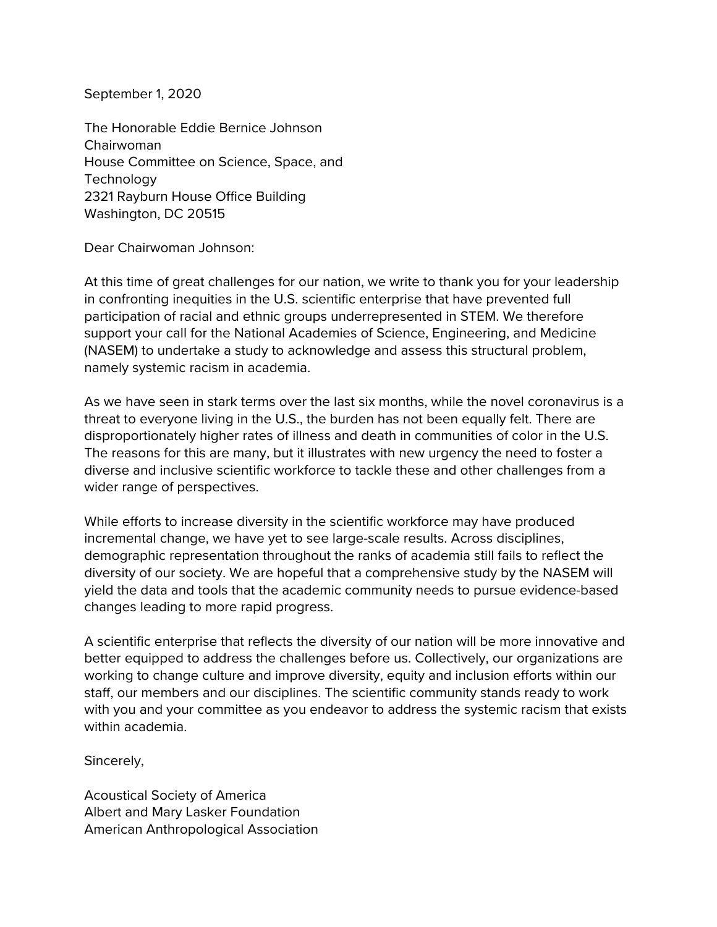September 1, 2020

The Honorable Eddie Bernice Johnson Chairwoman House Committee on Science, Space, and **Technology** 2321 Rayburn House Office Building Washington, DC 20515

Dear Chairwoman Johnson:

At this time of great challenges for our nation, we write to thank you for your leadership in confronting inequities in the U.S. scientific enterprise that have prevented full participation of racial and ethnic groups underrepresented in STEM. We therefore support your call for the National Academies of Science, Engineering, and Medicine (NASEM) to undertake a study to acknowledge and assess this structural problem, namely systemic racism in academia.

As we have seen in stark terms over the last six months, while the novel coronavirus is a threat to everyone living in the U.S., the burden has not been equally felt. There are disproportionately higher rates of illness and death in communities of color in the U.S. The reasons for this are many, but it illustrates with new urgency the need to foster a diverse and inclusive scientific workforce to tackle these and other challenges from a wider range of perspectives.

While efforts to increase diversity in the scientific workforce may have produced incremental change, we have yet to see large-scale results. Across disciplines, demographic representation throughout the ranks of academia still fails to reflect the diversity of our society. We are hopeful that a comprehensive study by the NASEM will yield the data and tools that the academic community needs to pursue evidence-based changes leading to more rapid progress.

A scientific enterprise that reflects the diversity of our nation will be more innovative and better equipped to address the challenges before us. Collectively, our organizations are working to change culture and improve diversity, equity and inclusion efforts within our staff, our members and our disciplines. The scientific community stands ready to work with you and your committee as you endeavor to address the systemic racism that exists within academia.

Sincerely,

Acoustical Society of America Albert and Mary Lasker Foundation American Anthropological Association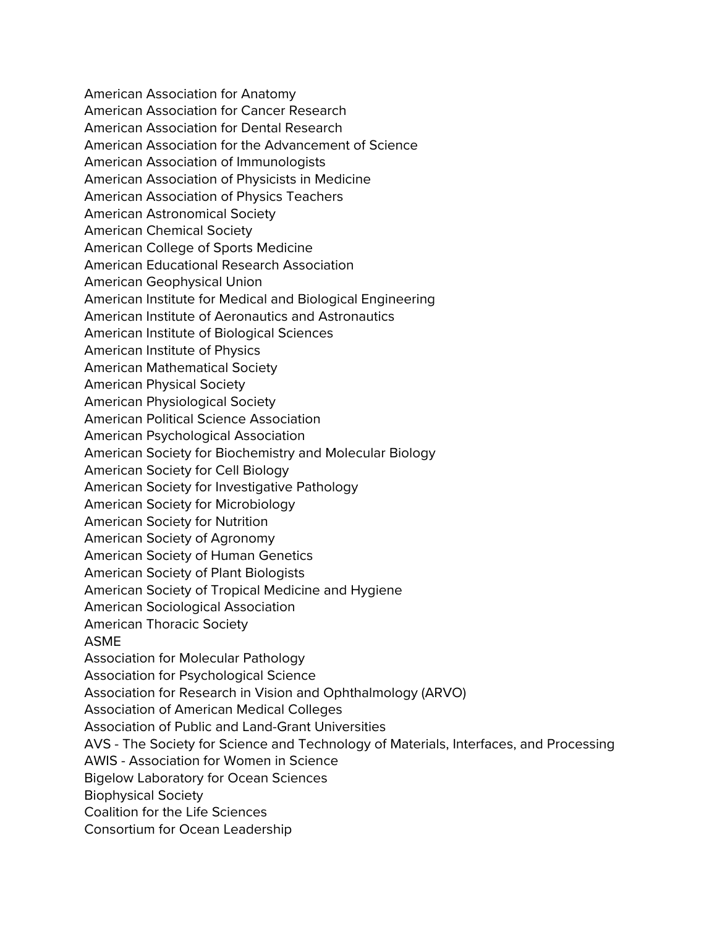American Association for Anatomy American Association for Cancer Research American Association for Dental Research American Association for the Advancement of Science American Association of Immunologists American Association of Physicists in Medicine American Association of Physics Teachers American Astronomical Society American Chemical Society American College of Sports Medicine American Educational Research Association American Geophysical Union American Institute for Medical and Biological Engineering American Institute of Aeronautics and Astronautics American Institute of Biological Sciences American Institute of Physics American Mathematical Society American Physical Society American Physiological Society American Political Science Association American Psychological Association American Society for Biochemistry and Molecular Biology American Society for Cell Biology American Society for Investigative Pathology American Society for Microbiology American Society for Nutrition American Society of Agronomy American Society of Human Genetics American Society of Plant Biologists American Society of Tropical Medicine and Hygiene American Sociological Association American Thoracic Society ASME Association for Molecular Pathology Association for Psychological Science Association for Research in Vision and Ophthalmology (ARVO) Association of American Medical Colleges Association of Public and Land-Grant Universities AVS - The Society for Science and Technology of Materials, Interfaces, and Processing AWIS - Association for Women in Science Bigelow Laboratory for Ocean Sciences Biophysical Society Coalition for the Life Sciences Consortium for Ocean Leadership